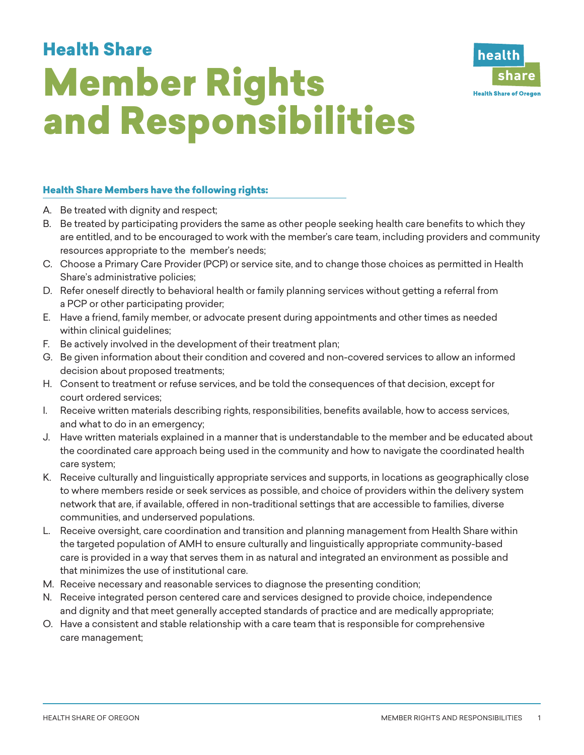## Member Rights and Responsibilities Health Share



## Health Share Members have the following rights:

- A. Be treated with dignity and respect;
- B. Be treated by participating providers the same as other people seeking health care benefits to which they are entitled, and to be encouraged to work with the member's care team, including providers and community resources appropriate to the member's needs;
- C. Choose a Primary Care Provider (PCP) or service site, and to change those choices as permitted in Health Share's administrative policies;
- D. Refer oneself directly to behavioral health or family planning services without getting a referral from a PCP or other participating provider;
- E. Have a friend, family member, or advocate present during appointments and other times as needed within clinical guidelines;
- F. Be actively involved in the development of their treatment plan;
- G. Be given information about their condition and covered and non-covered services to allow an informed decision about proposed treatments;
- H. Consent to treatment or refuse services, and be told the consequences of that decision, except for court ordered services;
- I. Receive written materials describing rights, responsibilities, benefits available, how to access services, and what to do in an emergency;
- J. Have written materials explained in a manner that is understandable to the member and be educated about the coordinated care approach being used in the community and how to navigate the coordinated health care system;
- K. Receive culturally and linguistically appropriate services and supports, in locations as geographically close to where members reside or seek services as possible, and choice of providers within the delivery system network that are, if available, offered in non-traditional settings that are accessible to families, diverse communities, and underserved populations.
- L. Receive oversight, care coordination and transition and planning management from Health Share within the targeted population of AMH to ensure culturally and linguistically appropriate community-based care is provided in a way that serves them in as natural and integrated an environment as possible and that minimizes the use of institutional care.
- M. Receive necessary and reasonable services to diagnose the presenting condition;
- N. Receive integrated person centered care and services designed to provide choice, independence and dignity and that meet generally accepted standards of practice and are medically appropriate;
- O. Have a consistent and stable relationship with a care team that is responsible for comprehensive care management;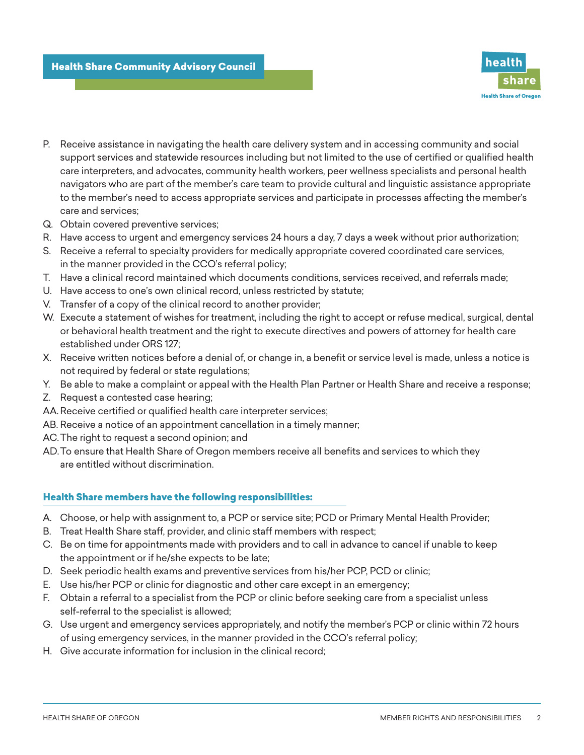

- P. Receive assistance in navigating the health care delivery system and in accessing community and social support services and statewide resources including but not limited to the use of certified or qualified health care interpreters, and advocates, community health workers, peer wellness specialists and personal health navigators who are part of the member's care team to provide cultural and linguistic assistance appropriate to the member's need to access appropriate services and participate in processes affecting the member's care and services;
- Q. Obtain covered preventive services;
- R. Have access to urgent and emergency services 24 hours a day, 7 days a week without prior authorization;
- S. Receive a referral to specialty providers for medically appropriate covered coordinated care services, in the manner provided in the CCO's referral policy;
- T. Have a clinical record maintained which documents conditions, services received, and referrals made;
- U. Have access to one's own clinical record, unless restricted by statute;
- V. Transfer of a copy of the clinical record to another provider;
- W. Execute a statement of wishes for treatment, including the right to accept or refuse medical, surgical, dental or behavioral health treatment and the right to execute directives and powers of attorney for health care established under ORS 127;
- X. Receive written notices before a denial of, or change in, a benefit or service level is made, unless a notice is not required by federal or state regulations;
- Y. Be able to make a complaint or appeal with the Health Plan Partner or Health Share and receive a response;
- Z. Request a contested case hearing;
- AA.Receive certified or qualified health care interpreter services;
- AB. Receive a notice of an appointment cancellation in a timely manner;
- AC.The right to request a second opinion; and
- AD.To ensure that Health Share of Oregon members receive all benefits and services to which they are entitled without discrimination.

## Health Share members have the following responsibilities:

- A. Choose, or help with assignment to, a PCP or service site; PCD or Primary Mental Health Provider;
- B. Treat Health Share staff, provider, and clinic staff members with respect;
- C. Be on time for appointments made with providers and to call in advance to cancel if unable to keep the appointment or if he/she expects to be late;
- D. Seek periodic health exams and preventive services from his/her PCP, PCD or clinic;
- E. Use his/her PCP or clinic for diagnostic and other care except in an emergency;
- F. Obtain a referral to a specialist from the PCP or clinic before seeking care from a specialist unless self-referral to the specialist is allowed;
- G. Use urgent and emergency services appropriately, and notify the member's PCP or clinic within 72 hours of using emergency services, in the manner provided in the CCO's referral policy;
- H. Give accurate information for inclusion in the clinical record;